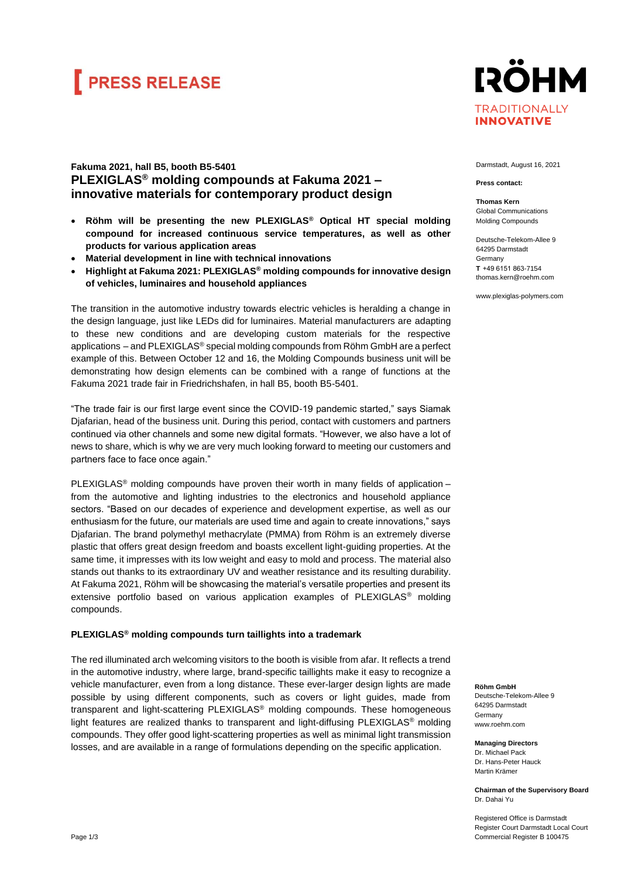# **FRESS RELEASE**



## **Fakuma 2021, hall B5, booth B5-5401 PLEXIGLAS® molding compounds at Fakuma 2021 – innovative materials for contemporary product design**

- **Röhm will be presenting the new PLEXIGLAS® Optical HT special molding compound for increased continuous service temperatures, as well as other products for various application areas**
- **Material development in line with technical innovations**
- **Highlight at Fakuma 2021: PLEXIGLAS® molding compounds for innovative design of vehicles, luminaires and household appliances**

The transition in the automotive industry towards electric vehicles is heralding a change in the design language, just like LEDs did for luminaires. Material manufacturers are adapting to these new conditions and are developing custom materials for the respective applications – and PLEXIGLAS® special molding compounds from Röhm GmbH are a perfect example of this. Between October 12 and 16, the Molding Compounds business unit will be demonstrating how design elements can be combined with a range of functions at the Fakuma 2021 trade fair in Friedrichshafen, in hall B5, booth B5-5401.

"The trade fair is our first large event since the COVID-19 pandemic started," says Siamak Djafarian, head of the business unit. During this period, contact with customers and partners continued via other channels and some new digital formats. "However, we also have a lot of news to share, which is why we are very much looking forward to meeting our customers and partners face to face once again."

PLEXIGLAS<sup>®</sup> molding compounds have proven their worth in many fields of application from the automotive and lighting industries to the electronics and household appliance sectors. "Based on our decades of experience and development expertise, as well as our enthusiasm for the future, our materials are used time and again to create innovations," says Djafarian. The brand polymethyl methacrylate (PMMA) from Röhm is an extremely diverse plastic that offers great design freedom and boasts excellent light-guiding properties. At the same time, it impresses with its low weight and easy to mold and process. The material also stands out thanks to its extraordinary UV and weather resistance and its resulting durability. At Fakuma 2021, Röhm will be showcasing the material's versatile properties and present its extensive portfolio based on various application examples of PLEXIGLAS® molding compounds.

### **PLEXIGLAS® molding compounds turn taillights into a trademark**

The red illuminated arch welcoming visitors to the booth is visible from afar. It reflects a trend in the automotive industry, where large, brand-specific taillights make it easy to recognize a vehicle manufacturer, even from a long distance. These ever-larger design lights are made possible by using different components, such as covers or light guides, made from transparent and light-scattering PLEXIGLAS® molding compounds. These homogeneous light features are realized thanks to transparent and light-diffusing PLEXIGLAS® molding compounds. They offer good light-scattering properties as well as minimal light transmission losses, and are available in a range of formulations depending on the specific application.

Darmstadt, August 16, 2021

**Press contact:**

**Thomas Kern** Global Communications Molding Compounds

Deutsche-Telekom-Allee 9 64295 Darmstadt Germany **T**  +49 6151 863-7154 thomas.kern@roehm.com

www.plexiglas-polymers.com

**Röhm GmbH**

Deutsche-Telekom-Allee 9 64295 Darmstadt Germany www.roehm.com

**Managing Directors** Dr. Michael Pack Dr. Hans-Peter Hauck Martin Krämer

**Chairman of the Supervisory Board** Dr. Dahai Yu

Registered Office is Darmstadt Register Court Darmstadt Local Court Commercial Register B 100475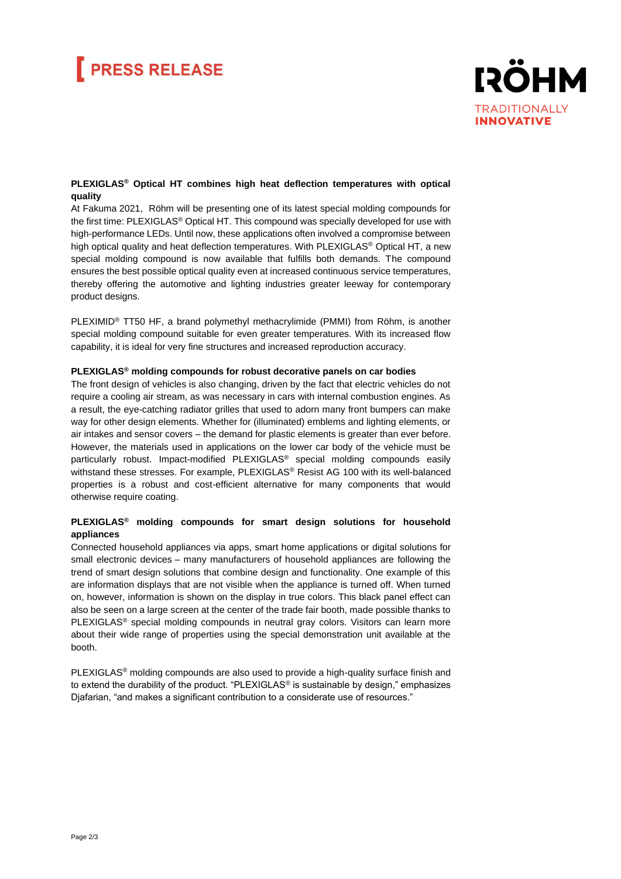# **PRESS RELEASE**



### **PLEXIGLAS® Optical HT combines high heat deflection temperatures with optical quality**

At Fakuma 2021, Röhm will be presenting one of its latest special molding compounds for the first time: PLEXIGLAS® Optical HT. This compound was specially developed for use with high-performance LEDs. Until now, these applications often involved a compromise between high optical quality and heat deflection temperatures. With PLEXIGLAS<sup>®</sup> Optical HT, a new special molding compound is now available that fulfills both demands. The compound ensures the best possible optical quality even at increased continuous service temperatures, thereby offering the automotive and lighting industries greater leeway for contemporary product designs.

PLEXIMID® TT50 HF, a brand polymethyl methacrylimide (PMMI) from Röhm, is another special molding compound suitable for even greater temperatures. With its increased flow capability, it is ideal for very fine structures and increased reproduction accuracy.

### **PLEXIGLAS® molding compounds for robust decorative panels on car bodies**

The front design of vehicles is also changing, driven by the fact that electric vehicles do not require a cooling air stream, as was necessary in cars with internal combustion engines. As a result, the eye-catching radiator grilles that used to adorn many front bumpers can make way for other design elements. Whether for (illuminated) emblems and lighting elements, or air intakes and sensor covers – the demand for plastic elements is greater than ever before. However, the materials used in applications on the lower car body of the vehicle must be particularly robust. Impact-modified PLEXIGLAS® special molding compounds easily withstand these stresses. For example, PLEXIGLAS® Resist AG 100 with its well-balanced properties is a robust and cost-efficient alternative for many components that would otherwise require coating.

### **PLEXIGLAS® molding compounds for smart design solutions for household appliances**

Connected household appliances via apps, smart home applications or digital solutions for small electronic devices – many manufacturers of household appliances are following the trend of smart design solutions that combine design and functionality. One example of this are information displays that are not visible when the appliance is turned off. When turned on, however, information is shown on the display in true colors. This black panel effect can also be seen on a large screen at the center of the trade fair booth, made possible thanks to PLEXIGLAS® special molding compounds in neutral gray colors. Visitors can learn more about their wide range of properties using the special demonstration unit available at the booth.

PLEXIGLAS<sup>®</sup> molding compounds are also used to provide a high-quality surface finish and to extend the durability of the product. "PLEXIGLAS® is sustainable by design," emphasizes Diafarian, "and makes a significant contribution to a considerate use of resources."